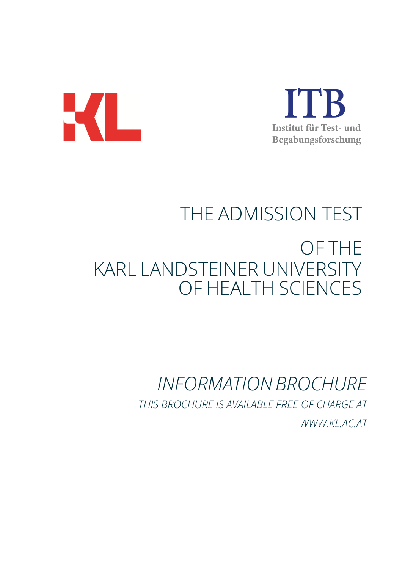



# THE ADMISSION TEST OF THE KARL LANDSTEINER UNIVERSITY OF HEALTH SCIENCES

# *INFORMATIONBROCHURE THIS BROCHURE IS AVAILABLE FREE OF CHARGE AT [WWW.KL.AC.AT](http://www.kl.ac.at/)*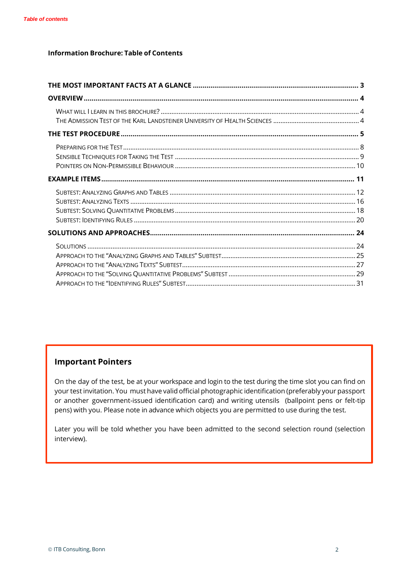#### **Information Brochure: Table of Contents**

# **Important Pointers**

On the day of the test, be at your workspace and login to the test during the time slot you can find on your test invitation. You must have valid official photographic identification (preferably your passport or another government-issued identification card) and writing utensils (ballpoint pens or felt-tip pens) with you. Please note in advance which objects you are permitted to use during the test.

Later you will be told whether you have been admitted to the second selection round (selection interview).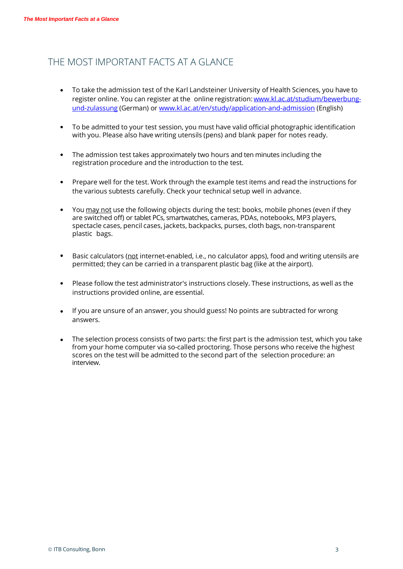# THE MOST IMPORTANT FACTS AT A GLANCE

- To take the admission test of the Karl Landsteiner University of Health Sciences, you have to register online. You can register at the online registration: www.kl.ac.at/studium/bewerbung[und-zulassung](http://www.kl.ac.at/studium/bewerbung-und-zulassung) (German) or [www.kl.ac.at/en/study/application-and-admission](http://www.kl.ac.at/en/study/application-and-admission) (English)
- To be admitted to your test session, you must have valid official photographic identification with you. Please also have writing utensils (pens) and blank paper for notes ready.
- The admission test takes approximately two hours and ten minutes including the registration procedure and the introduction to the test.
- the various subtests carefully. Check your technical setup well in advance. • Prepare well for the test. Work through the example test items and read the instructions for
- You may not use the following objects during the test: books, mobile phones (even if they are switched off) or tablet PCs, smartwatches, cameras, PDAs, notebooks, MP3 players, spectacle cases, pencil cases, jackets, backpacks, purses, cloth bags, non-transparent plastic bags.
- Basic calculators (not internet-enabled, i.e., no calculator apps), food and writing utensils are permitted; they can be carried in a transparent plastic bag (like at the airport).
- Please follow the test administrator's instructions closely. These instructions, as well as the instructions provided online, are essential.
- If you are unsure of an answer, you should guess! No points are subtracted for wrong answers.
- The selection process consists of two parts: the first part is the admission test, which you take from your home computer via so-called proctoring. Those persons who receive the highest scores on the test will be admitted to the second part of the selection procedure: an interview.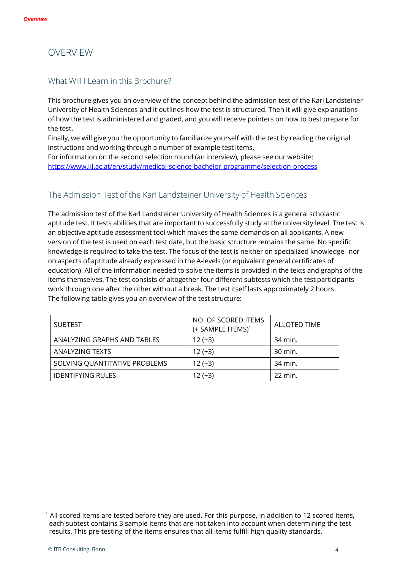# OVERVIEW

# What Will I Learn in this Brochure?

This brochure gives you an overview of the concept behind the admission test of the Karl Landsteiner University of Health Sciences and it outlines how the test is structured. Then it will give explanations of how the test is administered and graded, and you will receive pointers on how to best prepare for the test.

Finally, we will give you the opportunity to familiarize yourself with the test by reading the original instructions and working through a number of example test items.

For information on the second selection round (an interview), please see our website: <https://www.kl.ac.at/en/study/medical-science-bachelor-programme/selection-process>

# The Admission Test of the Karl Landsteiner University of Health Sciences

The admission test of the Karl Landsteiner University of Health Sciences is a general scholastic aptitude test. It tests abilities that are important to successfully study at the university level. The test is an objective aptitude assessment tool which makes the same demands on all applicants. A new version of the test is used on each test date, but the basic structure remains the same. No specific knowledge is required to take the test. The focus of the test is neither on specialized knowledge nor on aspects of aptitude already expressed in the A-levels (or equivalent general certificates of education). All of the information needed to solve the items is provided in the texts and graphs of the items themselves. The test consists of altogether four different subtests which the test participants work through one after the other without a break. The test itself lasts approximately 2 hours. The following table gives you an overview of the test structure:

| <b>SUBTEST</b>                | NO. OF SCORED ITEMS<br>(+ SAMPLE ITEMS) <sup>1</sup> | <b>ALLOTED TIME</b> |
|-------------------------------|------------------------------------------------------|---------------------|
| ANALYZING GRAPHS AND TABLES   | $12 (+3)$                                            | 34 min.             |
| <b>ANALYZING TEXTS</b>        | $12 (+3)$                                            | 30 min.             |
| SOLVING QUANTITATIVE PROBLEMS | $12 (+3)$                                            | 34 min.             |
| <b>IDENTIFYING RULES</b>      | $12 (+3)$                                            | 22 min.             |

<sup>&</sup>lt;sup>1</sup> All scored items are tested before they are used. For this purpose, in addition to 12 scored items, each subtest contains 3 sample items that are not taken into account when determining the test results. This pre-testing of the items ensures that all items fulfill high quality standards.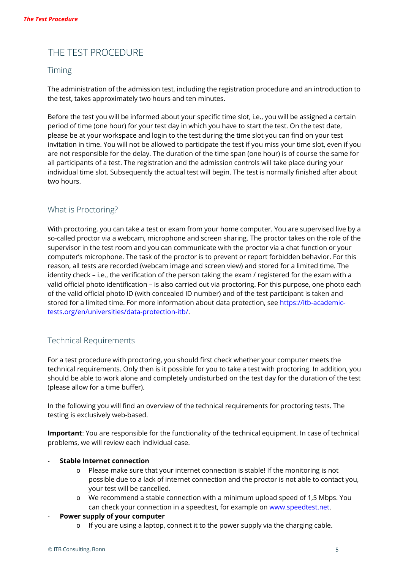# THE TEST PROCEDURE

# Timing

The administration of the admission test, including the registration procedure and an introduction to the test, takes approximately two hours and ten minutes.

Before the test you will be informed about your specific time slot, i.e., you will be assigned a certain period of time (one hour) for your test day in which you have to start the test. On the test date, please be at your workspace and login to the test during the time slot you can find on your test invitation in time. You will not be allowed to participate the test if you miss your time slot, even if you are not responsible for the delay. The duration of the time span (one hour) is of course the same for all participants of a test. The registration and the admission controls will take place during your individual time slot. Subsequently the actual test will begin. The test is normally finished after about two hours.

# What is Proctoring?

With proctoring, you can take a test or exam from your home computer. You are supervised live by a so-called proctor via a webcam, microphone and screen sharing. The proctor takes on the role of the supervisor in the test room and you can communicate with the proctor via a chat function or your computer's microphone. The task of the proctor is to prevent or report forbidden behavior. For this reason, all tests are recorded (webcam image and screen view) and stored for a limited time. The identity check – i.e., the verification of the person taking the exam / registered for the exam with a valid official photo identification – is also carried out via proctoring. For this purpose, one photo each of the valid official photo ID (with concealed ID number) and of the test participant is taken and stored for a limited time. For more information about data protection, see [https://itb-academic](https://itb-academic-tests.org/en/universities/data-protection-itb/)[tests.org/en/universities/data-protection-itb/.](https://itb-academic-tests.org/en/universities/data-protection-itb/)

# Technical Requirements

For a test procedure with proctoring, you should first check whether your computer meets the technical requirements. Only then is it possible for you to take a test with proctoring. In addition, you should be able to work alone and completely undisturbed on the test day for the duration of the test (please allow for a time buffer).

In the following you will find an overview of the technical requirements for proctoring tests. The testing is exclusively web-based.

**Important**: You are responsible for the functionality of the technical equipment. In case of technical problems, we will review each individual case.

- **Stable Internet connection**
	- o Please make sure that your internet connection is stable! If the monitoring is not possible due to a lack of internet connection and the proctor is not able to contact you, your test will be cancelled.
	- o We recommend a stable connection with a minimum upload speed of 1,5 Mbps. You can check your connection in a speedtest, for example on [www.speedtest.net.](https://www.speedtest.net/)
- **Power supply of your computer**
	- $\circ$  If you are using a laptop, connect it to the power supply via the charging cable.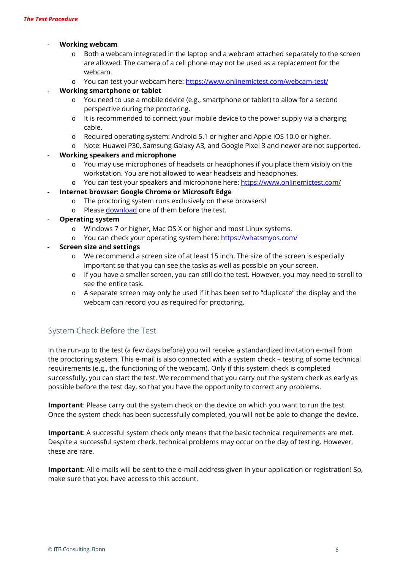#### - **Working webcam**

- o Both a webcam integrated in the laptop and a webcam attached separately to the screen are allowed. The camera of a cell phone may not be used as a replacement for the webcam.
- o You can test your webcam here:<https://www.onlinemictest.com/webcam-test/>

#### - **Working smartphone or tablet**

- o You need to use a mobile device (e.g., smartphone or tablet) to allow for a second perspective during the proctoring.
- o It is recommended to connect your mobile device to the power supply via a charging cable.
- o Required operating system: Android 5.1 or higher and Apple iOS 10.0 or higher.
- o Note: Huawei P30, Samsung Galaxy A3, and Google Pixel 3 and newer are not supported.

#### - **Working speakers and microphone**

- o You may use microphones of headsets or headphones if you place them visibly on the workstation. You are not allowed to wear headsets and headphones.
- o You can test your speakers and microphone here:<https://www.onlinemictest.com/>
- **Internet browser: Google Chrome or Microsoft Edge**
	- o The proctoring system runs exclusively on these browsers!
	- o Please [download](https://support.google.com/chrome/answer/95346?co=GENIE.Platform%3DDesktop&hl=de) one of them before the test.
- **Operating system**
	- o Windows 7 or higher, Mac OS X or higher and most Linux systems.
	- o You can check your operating system here:<https://whatsmyos.com/>

#### - **Screen size and settings**

- o We recommend a screen size of at least 15 inch. The size of the screen is especially important so that you can see the tasks as well as possible on your screen.
- o If you have a smaller screen, you can still do the test. However, you may need to scroll to see the entire task.
- o A separate screen may only be used if it has been set to "duplicate" the display and the webcam can record you as required for proctoring.

# System Check Before the Test

In the run-up to the test (a few days before) you will receive a standardized invitation e-mail from the proctoring system. This e-mail is also connected with a system check – testing of some technical requirements (e.g., the functioning of the webcam). Only if this system check is completed successfully, you can start the test. We recommend that you carry out the system check as early as possible before the test day, so that you have the opportunity to correct any problems.

**Important**: Please carry out the system check on the device on which you want to run the test. Once the system check has been successfully completed, you will not be able to change the device.

**Important**: A successful system check only means that the basic technical requirements are met. Despite a successful system check, technical problems may occur on the day of testing. However, these are rare.

**Important**: All e-mails will be sent to the e-mail address given in your application or registration! So, make sure that you have access to this account.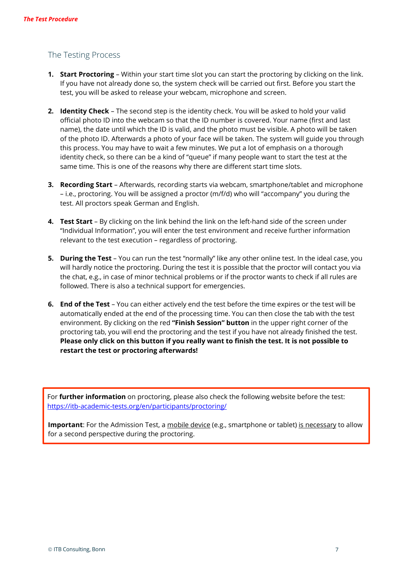# The Testing Process

- **1. Start Proctoring**  Within your start time slot you can start the proctoring by clicking on the link. If you have not already done so, the system check will be carried out first. Before you start the test, you will be asked to release your webcam, microphone and screen.
- **2. Identity Check** The second step is the identity check. You will be asked to hold your valid official photo ID into the webcam so that the ID number is covered. Your name (first and last name), the date until which the ID is valid, and the photo must be visible. A photo will be taken of the photo ID. Afterwards a photo of your face will be taken. The system will guide you through this process. You may have to wait a few minutes. We put a lot of emphasis on a thorough identity check, so there can be a kind of "queue" if many people want to start the test at the same time. This is one of the reasons why there are different start time slots.
- **3. Recording Start** Afterwards, recording starts via webcam, smartphone/tablet and microphone – i.e., proctoring. You will be assigned a proctor (m/f/d) who will "accompany" you during the test. All proctors speak German and English.
- **4. Test Start** By clicking on the link behind the link on the left-hand side of the screen under "Individual Information", you will enter the test environment and receive further information relevant to the test execution – regardless of proctoring.
- **5. During the Test** You can run the test "normally" like any other online test. In the ideal case, you will hardly notice the proctoring. During the test it is possible that the proctor will contact you via the chat, e.g., in case of minor technical problems or if the proctor wants to check if all rules are followed. There is also a technical support for emergencies.
- **6. End of the Test** You can either actively end the test before the time expires or the test will be automatically ended at the end of the processing time. You can then close the tab with the test environment. By clicking on the red **"Finish Session" button** in the upper right corner of the proctoring tab, you will end the proctoring and the test if you have not already finished the test. **Please only click on this button if you really want to finish the test. It is not possible to restart the test or proctoring afterwards!**

For **further information** on proctoring, please also check the following website before the test: <https://itb-academic-tests.org/en/participants/proctoring/>

**Important**: For the Admission Test, a mobile device (e.g., smartphone or tablet) is necessary to allow for a second perspective during the proctoring.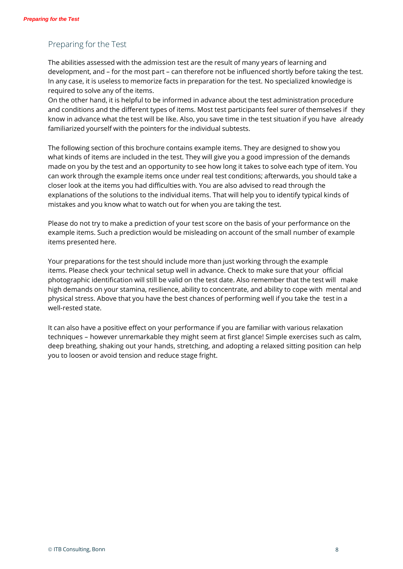# Preparing for the Test

The abilities assessed with the admission test are the result of many years of learning and development, and – for the most part – can therefore not be influenced shortly before taking the test. In any case, it is useless to memorize facts in preparation for the test. No specialized knowledge is required to solve any of the items.

On the other hand, it is helpful to be informed in advance about the test administration procedure and conditions and the different types of items. Most test participants feel surer of themselves if they know in advance what the test will be like. Also, you save time in the test situation if you have already familiarized yourself with the pointers for the individual subtests.

The following section of this brochure contains example items. They are designed to show you what kinds of items are included in the test. They will give you a good impression of the demands made on you by the test and an opportunity to see how long it takes to solve each type of item. You can work through the example items once under real test conditions; afterwards, you should take a closer look at the items you had difficulties with. You are also advised to read through the explanations of the solutions to the individual items. That will help you to identify typical kinds of mistakes and you know what to watch out for when you are taking the test.

Please do not try to make a prediction of your test score on the basis of your performance on the example items. Such a prediction would be misleading on account of the small number of example items presented here.

Your preparations for the test should include more than just working through the example items. Please check your technical setup well in advance. Check to make sure that your official photographic identification will still be valid on the test date. Also remember that the test will make high demands on your stamina, resilience, ability to concentrate, and ability to cope with mental and physical stress. Above that you have the best chances of performing well if you take the test in a well-rested state.

It can also have a positive effect on your performance if you are familiar with various relaxation techniques – however unremarkable they might seem at first glance! Simple exercises such as calm, deep breathing, shaking out your hands, stretching, and adopting a relaxed sitting position can help you to loosen or avoid tension and reduce stage fright.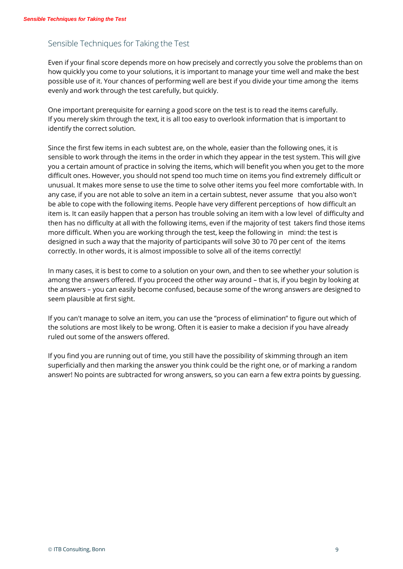# Sensible Techniques for Taking the Test

Even if your final score depends more on how precisely and correctly you solve the problems than on how quickly you come to your solutions, it is important to manage your time well and make the best possible use of it. Your chances of performing well are best if you divide your time among the items evenly and work through the test carefully, but quickly.

One important prerequisite for earning a good score on the test is to read the items carefully. If you merely skim through the text, it is all too easy to overlook information that is important to identify the correct solution.

Since the first few items in each subtest are, on the whole, easier than the following ones, it is sensible to work through the items in the order in which they appear in the test system. This will give you a certain amount of practice in solving the items, which will benefit you when you get to the more difficult ones. However, you should not spend too much time on items you find extremely difficult or unusual. It makes more sense to use the time to solve other items you feel more comfortable with. In any case, if you are not able to solve an item in a certain subtest, never assume that you also won't be able to cope with the following items. People have very different perceptions of how difficult an item is. It can easily happen that a person has trouble solving an item with a low level of difficulty and then has no difficulty at all with the following items, even if the majority of test takers find those items more difficult. When you are working through the test, keep the following in mind: the test is designed in such a way that the majority of participants will solve 30 to 70 per cent of the items correctly. In other words, it is almost impossible to solve all of the items correctly!

In many cases, it is best to come to a solution on your own, and then to see whether your solution is among the answers offered. If you proceed the other way around – that is, if you begin by looking at the answers – you can easily become confused, because some of the wrong answers are designed to seem plausible at first sight.

If you can't manage to solve an item, you can use the "process of elimination" to figure out which of the solutions are most likely to be wrong. Often it is easier to make a decision if you have already ruled out some of the answers offered.

If you find you are running out of time, you still have the possibility of skimming through an item superficially and then marking the answer you think could be the right one, or of marking a random answer! No points are subtracted for wrong answers, so you can earn a few extra points by guessing.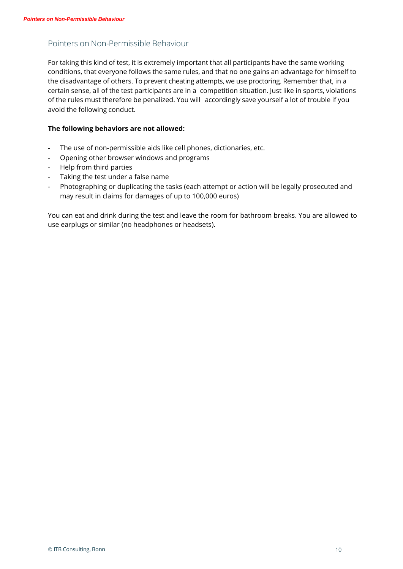# Pointers on Non-Permissible Behaviour

For taking this kind of test, it is extremely important that all participants have the same working conditions, that everyone follows the same rules, and that no one gains an advantage for himself to the disadvantage of others. To prevent cheating attempts, we use proctoring. Remember that, in a certain sense, all of the test participants are in a competition situation. Just like in sports, violations of the rules must therefore be penalized. You will accordingly save yourself a lot of trouble if you avoid the following conduct.

#### **The following behaviors are not allowed:**

- The use of non-permissible aids like cell phones, dictionaries, etc.
- Opening other browser windows and programs
- Help from third parties
- Taking the test under a false name
- Photographing or duplicating the tasks (each attempt or action will be legally prosecuted and may result in claims for damages of up to 100,000 euros)

You can eat and drink during the test and leave the room for bathroom breaks. You are allowed to use earplugs or similar (no headphones or headsets).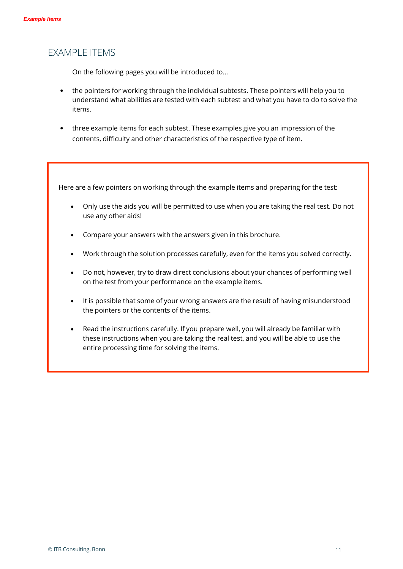# EXAMPLE ITEMS

On the following pages you will be introduced to…

- the pointers for working through the individual subtests. These pointers will help you to understand what abilities are tested with each subtest and what you have to do to solve the items.
- three example items for each subtest. These examples give you an impression of the contents, difficulty and other characteristics of the respective type of item.

Here are a few pointers on working through the example items and preparing for the test:

- Only use the aids you will be permitted to use when you are taking the real test. Do not use any other aids!
- Compare your answers with the answers given in this brochure.
- Work through the solution processes carefully, even for the items you solved correctly.
- Do not, however, try to draw direct conclusions about your chances of performing well on the test from your performance on the example items.
- It is possible that some of your wrong answers are the result of having misunderstood the pointers or the contents of the items.
- Read the instructions carefully. If you prepare well, you will already be familiar with these instructions when you are taking the real test, and you will be able to use the entire processing time for solving the items.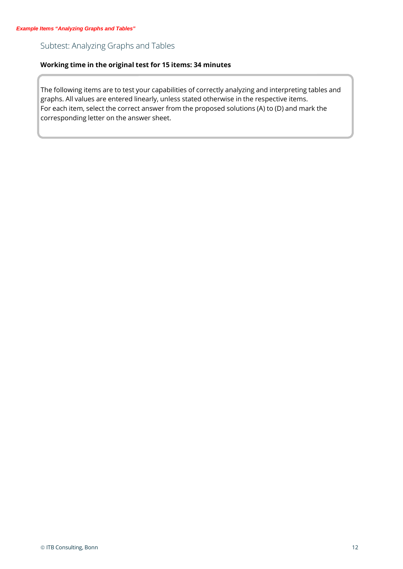# Subtest: Analyzing Graphs and Tables

## **Working time in the original test for 15 items: 34 minutes**

The following items are to test your capabilities of correctly analyzing and interpreting tables and graphs. All values are entered linearly, unless stated otherwise in the respective items. For each item, select the correct answer from the proposed solutions (A) to (D) and mark the corresponding letter on the answer sheet.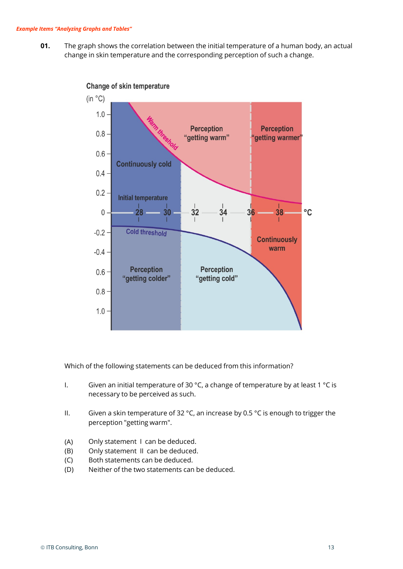**01.** The graph shows the correlation between the initial temperature of a human body, an actual change in skin temperature and the corresponding perception of such a change.



Change of skin temperature

Which of the following statements can be deduced from this information?

- I. Given an initial temperature of 30 °C, a change of temperature by at least 1 °C is necessary to be perceived as such.
- II. Given a skin temperature of 32 °C, an increase by 0.5 °C is enough to trigger the perception "getting warm".
- (A) Only statement I can be deduced.
- (B) Only statement II can be deduced.
- (C) Both statements can be deduced.
- (D) Neither of the two statements can be deduced.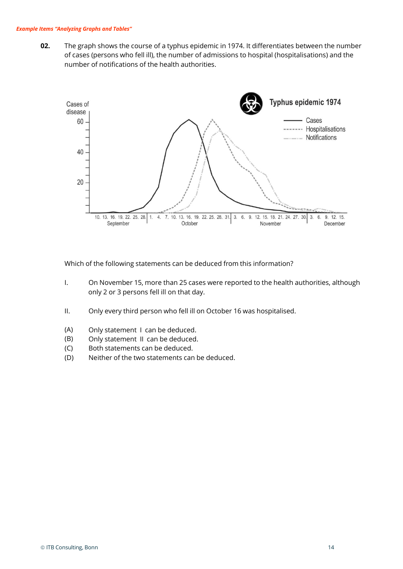**02.** The graph shows the course of a typhus epidemic in 1974. It differentiates between the number of cases (persons who fell ill), the number of admissions to hospital (hospitalisations) and the number of notifications of the health authorities.



Which of the following statements can be deduced from this information?

- I. On November 15, more than 25 cases were reported to the health authorities, although only 2 or 3 persons fell ill on that day.
- II. Only every third person who fell ill on October 16 was hospitalised.
- (A) Only statement I can be deduced.
- (B) Only statement II can be deduced.
- (C) Both statements can be deduced.
- (D) Neither of the two statements can be deduced.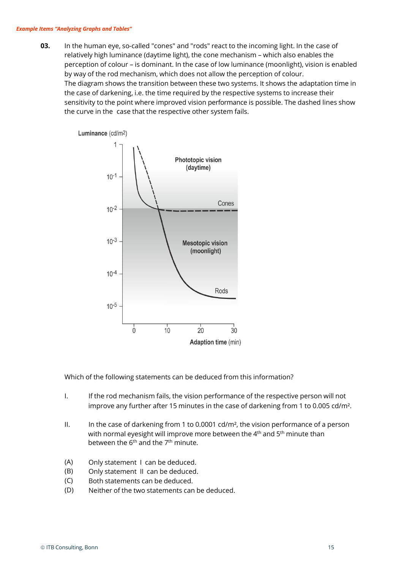**03.** In the human eye, so-called "cones" and "rods" react to the incoming light. In the case of relatively high luminance (daytime light), the cone mechanism – which also enables the perception of colour – is dominant. In the case of low luminance (moonlight), vision is enabled by way of the rod mechanism, which does not allow the perception of colour. The diagram shows the transition between these two systems. It shows the adaptation time in the case of darkening, i.e. the time required by the respective systems to increase their sensitivity to the point where improved vision performance is possible. The dashed lines show the curve in the case that the respective other system fails.



Which of the following statements can be deduced from this information?

- I. If the rod mechanism fails, the vision performance of the respective person will not improve any further after 15 minutes in the case of darkening from 1 to 0.005 cd/m².
- II. In the case of darkening from 1 to 0.0001 cd/m<sup>2</sup>, the vision performance of a person with normal eyesight will improve more between the 4<sup>th</sup> and 5<sup>th</sup> minute than between the  $6<sup>th</sup>$  and the  $7<sup>th</sup>$  minute.
- (A) Only statement I can be deduced.
- (B) Only statement II can be deduced.
- (C) Both statements can be deduced.
- (D) Neither of the two statements can be deduced.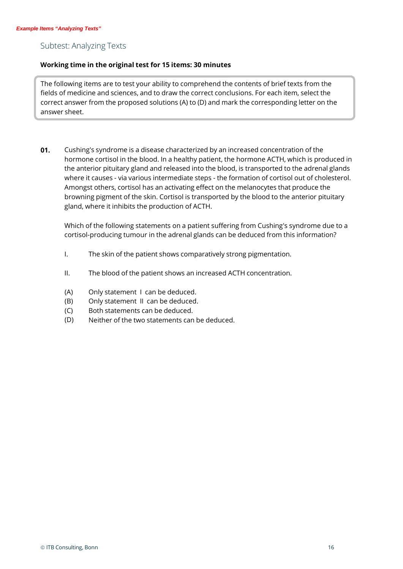# Subtest: Analyzing Texts

### **Working time in the original test for 15 items: 30 minutes**

The following items are to test your ability to comprehend the contents of brief texts from the fields of medicine and sciences, and to draw the correct conclusions. For each item, select the correct answer from the proposed solutions (A) to (D) and mark the corresponding letter on the answer sheet.

**01.** Cushing's syndrome is a disease characterized by an increased concentration of the hormone cortisol in the blood. In a healthy patient, the hormone ACTH, which is produced in the anterior pituitary gland and released into the blood, is transported to the adrenal glands where it causes - via various intermediate steps - the formation of cortisol out of cholesterol. Amongst others, cortisol has an activating effect on the melanocytes that produce the browning pigment of the skin. Cortisol is transported by the blood to the anterior pituitary gland, where it inhibits the production of ACTH.

Which of the following statements on a patient suffering from Cushing's syndrome due to a cortisol-producing tumour in the adrenal glands can be deduced from this information?

- I. The skin of the patient shows comparatively strong pigmentation.
- II. The blood of the patient shows an increased ACTH concentration.
- (A) Only statement I can be deduced.
- (B) Only statement II can be deduced.
- (C) Both statements can be deduced.
- (D) Neither of the two statements can be deduced.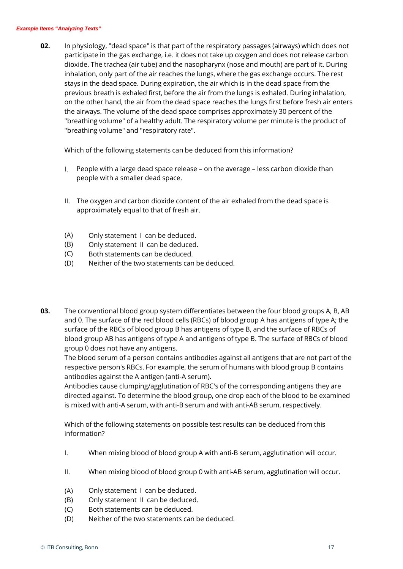#### *Example Items "Analyzing Texts"*

**02.** In physiology, "dead space" is that part of the respiratory passages (airways) which does not participate in the gas exchange, i.e. it does not take up oxygen and does not release carbon dioxide. The trachea (air tube) and the nasopharynx (nose and mouth) are part of it. During inhalation, only part of the air reaches the lungs, where the gas exchange occurs. The rest stays in the dead space. During expiration, the air which is in the dead space from the previous breath is exhaled first, before the air from the lungs is exhaled. During inhalation, on the other hand, the air from the dead space reaches the lungs first before fresh air enters the airways. The volume of the dead space comprises approximately 30 percent of the "breathing volume" of a healthy adult. The respiratory volume per minute is the product of "breathing volume" and "respiratory rate".

Which of the following statements can be deduced from this information?

- I. People with a large dead space release on the average less carbon dioxide than people with a smaller dead space.
- II. The oxygen and carbon dioxide content of the air exhaled from the dead space is approximately equal to that of fresh air.
- (A) Only statement I can be deduced.
- (B) Only statement II can be deduced.
- (C) Both statements can be deduced.
- (D) Neither of the two statements can be deduced.
- **03.** The conventional blood group system differentiates between the four blood groups A, B, AB and 0. The surface of the red blood cells (RBCs) of blood group A has antigens of type A; the surface of the RBCs of blood group B has antigens of type B, and the surface of RBCs of blood group AB has antigens of type A and antigens of type B. The surface of RBCs of blood group 0 does not have any antigens.

The blood serum of a person contains antibodies against all antigens that are not part of the respective person's RBCs. For example, the serum of humans with blood group B contains antibodies against the A antigen (anti-A serum).

Antibodies cause clumping/agglutination of RBC's of the corresponding antigens they are directed against. To determine the blood group, one drop each of the blood to be examined is mixed with anti-A serum, with anti-B serum and with anti-AB serum, respectively.

Which of the following statements on possible test results can be deduced from this information?

- I. When mixing blood of blood group A with anti-B serum, agglutination will occur.
- II. When mixing blood of blood group 0 with anti-AB serum, agglutination will occur.
- (A) Only statement I can be deduced.
- (B) Only statement II can be deduced.
- $(C)$ Both statements can be deduced.
- (D) Neither of the two statements can be deduced.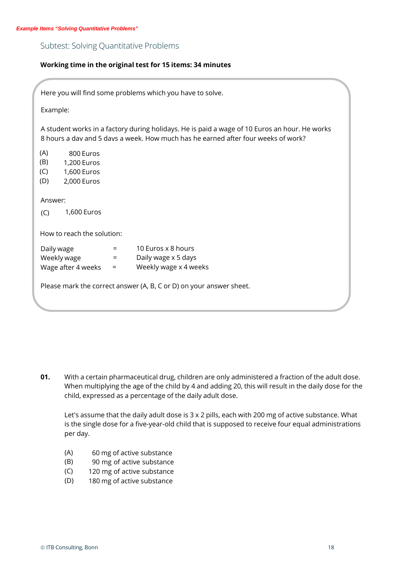## Subtest: Solving Quantitative Problems

#### **Working time in the original test for 15 items: 34 minutes**

|                                                                                    | Here you will find some problems which you have to solve.                                                                                                                          |
|------------------------------------------------------------------------------------|------------------------------------------------------------------------------------------------------------------------------------------------------------------------------------|
| Example:                                                                           |                                                                                                                                                                                    |
|                                                                                    | A student works in a factory during holidays. He is paid a wage of 10 Euros an hour. He works<br>8 hours a day and 5 days a week. How much has he earned after four weeks of work? |
| (A)<br>800 Euros<br>(B)<br>1,200 Euros<br>(C)<br>1,600 Euros<br>(D)<br>2,000 Euros |                                                                                                                                                                                    |
| Answer:                                                                            |                                                                                                                                                                                    |
| 1,600 Euros<br>(C)                                                                 |                                                                                                                                                                                    |
| How to reach the solution:                                                         |                                                                                                                                                                                    |
| Daily wage                                                                         | 10 Euros x 8 hours<br>$=$                                                                                                                                                          |
| Weekly wage                                                                        | Daily wage x 5 days<br>$=$                                                                                                                                                         |
| Wage after 4 weeks                                                                 | Weekly wage x 4 weeks<br>$=$                                                                                                                                                       |
|                                                                                    | Please mark the correct answer (A, B, C or D) on your answer sheet.                                                                                                                |

**01.** With a certain pharmaceutical drug, children are only administered a fraction of the adult dose. When multiplying the age of the child by 4 and adding 20, this will result in the daily dose for the child, expressed as a percentage of the daily adult dose.

Let's assume that the daily adult dose is 3 x 2 pills, each with 200 mg of active substance. What is the single dose for a five-year-old child that is supposed to receive four equal administrations per day.

- (A) 60 mg of active substance
- (B) 90 mg of active substance
- (C) 120 mg of active substance
- (D) 180 mg of active substance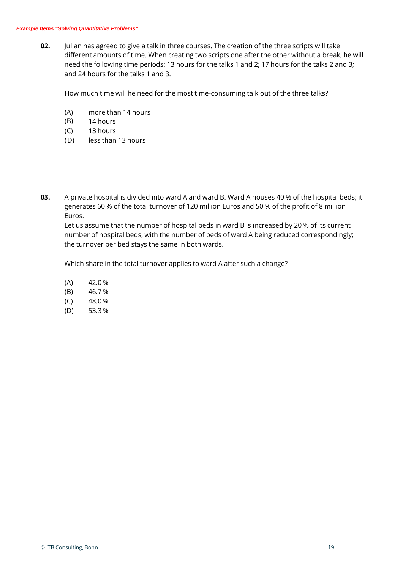**02.** Julian has agreed to give a talk in three courses. The creation of the three scripts will take different amounts of time. When creating two scripts one after the other without a break, he will need the following time periods: 13 hours for the talks 1 and 2; 17 hours for the talks 2 and 3; and 24 hours for the talks 1 and 3.

How much time will he need for the most time-consuming talk out of the three talks?

- (A) more than 14 hours
- (B) 14 hours
- $(C)$ 13 hours
- (D) less than 13 hours
- **03.** A private hospital is divided into ward A and ward B. Ward A houses 40 % of the hospital beds; it generates 60 % of the total turnover of 120 million Euros and 50 % of the profit of 8 million Euros.

Let us assume that the number of hospital beds in ward B is increased by 20 % of its current number of hospital beds, with the number of beds of ward A being reduced correspondingly; the turnover per bed stays the same in both wards.

Which share in the total turnover applies to ward A after such a change?

(A) (B) (C) (D) 42.0 % 46.7 % 48.0 % 53.3 %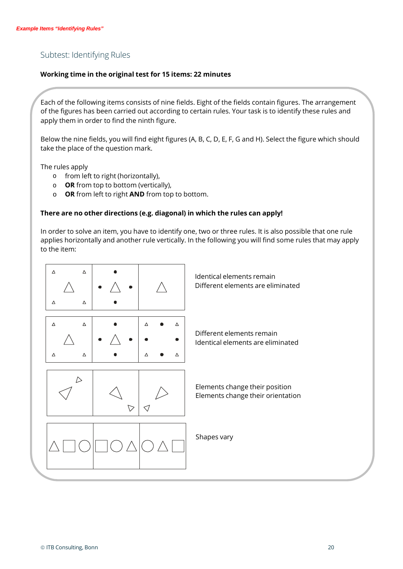# Subtest: Identifying Rules

### **Working time in the original test for 15 items: 22 minutes**

Each of the following items consists of nine fields. Eight of the fields contain figures. The arrangement of the figures has been carried out according to certain rules. Your task is to identify these rules and apply them in order to find the ninth figure.

Below the nine fields, you will find eight figures (A, B, C, D, E, F, G and H). Select the figure which should take the place of the question mark.

The rules apply

- o from left to right (horizontally),
- o **OR** from top to bottom (vertically),
- o **OR** from left to right **AND** from top to bottom.

#### **There are no other directions (e.g. diagonal) in which the rules can apply!**

In order to solve an item, you have to identify one, two or three rules. It is also possible that one rule applies horizontally and another rule vertically. In the following you will find some rules that may apply to the item:

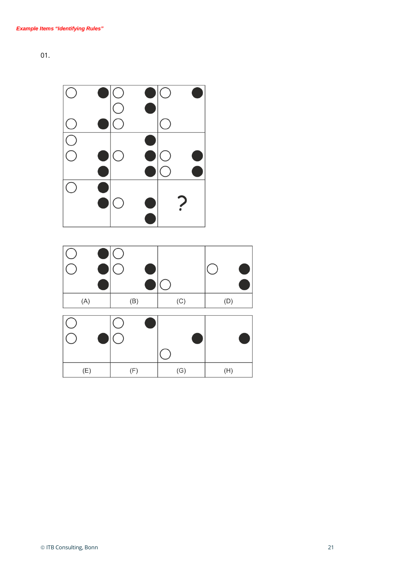

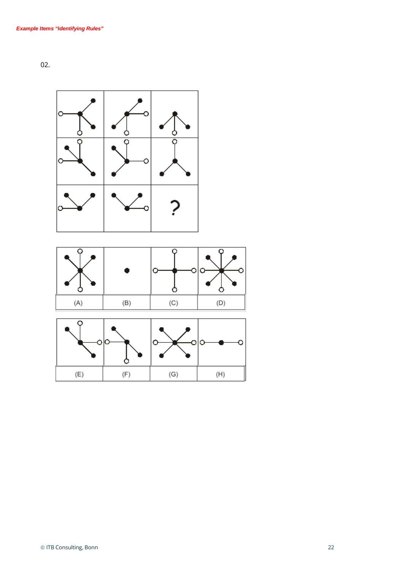



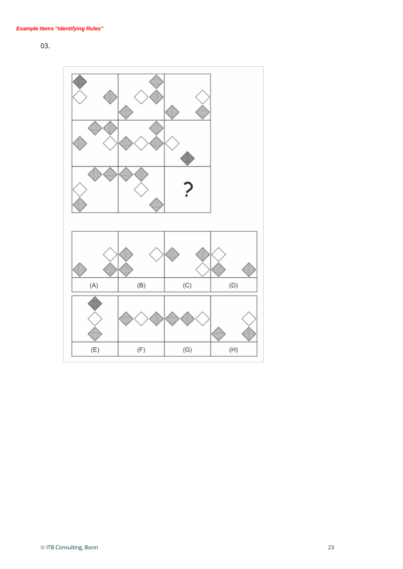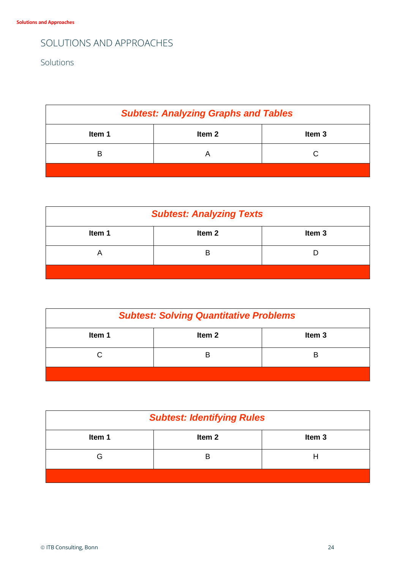# SOLUTIONS AND APPROACHES

Solutions

| <b>Subtest: Analyzing Graphs and Tables</b> |        |                   |  |
|---------------------------------------------|--------|-------------------|--|
| Item 1                                      | Item 2 | Item <sub>3</sub> |  |
| в                                           |        | C                 |  |
|                                             |        |                   |  |

| <b>Subtest: Analyzing Texts</b> |                   |                   |  |
|---------------------------------|-------------------|-------------------|--|
| Item 1                          | Item <sub>2</sub> | Item <sub>3</sub> |  |
| ⊢                               |                   |                   |  |
|                                 |                   |                   |  |

| <b>Subtest: Solving Quantitative Problems</b> |        |                   |  |
|-----------------------------------------------|--------|-------------------|--|
| Item 1                                        | Item 2 | Item <sub>3</sub> |  |
|                                               |        | B                 |  |
|                                               |        |                   |  |

| <b>Subtest: Identifying Rules</b> |                   |                   |  |
|-----------------------------------|-------------------|-------------------|--|
| Item 1                            | Item <sub>2</sub> | Item <sub>3</sub> |  |
| G                                 |                   |                   |  |
|                                   |                   |                   |  |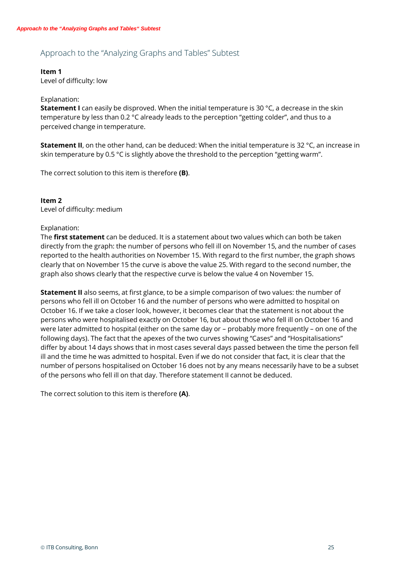# Approach to the "Analyzing Graphs and Tables" Subtest

## **Item 1**

Level of difficulty: low

### Explanation:

**Statement I** can easily be disproved. When the initial temperature is 30 °C, a decrease in the skin temperature by less than 0.2 °C already leads to the perception "getting colder", and thus to a perceived change in temperature.

**Statement II**, on the other hand, can be deduced: When the initial temperature is 32 °C, an increase in skin temperature by 0.5 °C is slightly above the threshold to the perception "getting warm".

The correct solution to this item is therefore **(B)**.

### **Item 2**

Level of difficulty: medium

#### Explanation:

The **first statement** can be deduced. It is a statement about two values which can both be taken directly from the graph: the number of persons who fell ill on November 15, and the number of cases reported to the health authorities on November 15. With regard to the first number, the graph shows clearly that on November 15 the curve is above the value 25. With regard to the second number, the graph also shows clearly that the respective curve is below the value 4 on November 15.

**Statement II** also seems, at first glance, to be a simple comparison of two values: the number of persons who fell ill on October 16 and the number of persons who were admitted to hospital on October 16. If we take a closer look, however, it becomes clear that the statement is not about the persons who were hospitalised exactly on October 16, but about those who fell ill on October 16 and were later admitted to hospital (either on the same day or – probably more frequently – on one of the following days). The fact that the apexes of the two curves showing "Cases" and "Hospitalisations" differ by about 14 days shows that in most cases several days passed between the time the person fell ill and the time he was admitted to hospital. Even if we do not consider that fact, it is clear that the number of persons hospitalised on October 16 does not by any means necessarily have to be a subset of the persons who fell ill on that day. Therefore statement II cannot be deduced.

The correct solution to this item is therefore **(A)**.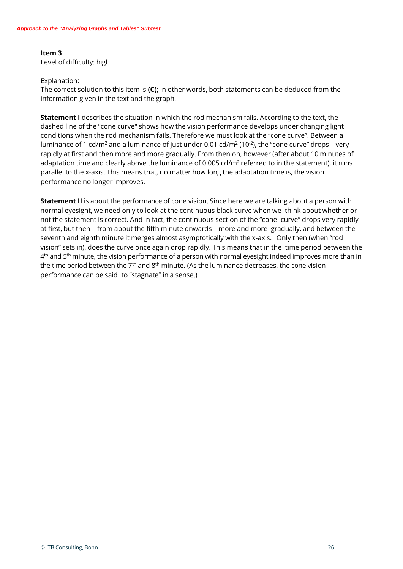## **Item 3** Level of difficulty: high

Explanation:

The correct solution to this item is **(C)**; in other words, both statements can be deduced from the information given in the text and the graph.

**Statement I** describes the situation in which the rod mechanism fails. According to the text, the dashed line of the "cone curve" shows how the vision performance develops under changing light conditions when the rod mechanism fails. Therefore we must look at the "cone curve". Between a luminance of 1 cd/m<sup>2</sup> and a luminance of just under 0.01 cd/m<sup>2</sup> (10<sup>-2</sup>), the "cone curve" drops – very rapidly at first and then more and more gradually. From then on, however (after about 10 minutes of adaptation time and clearly above the luminance of 0.005 cd/m<sup>2</sup> referred to in the statement), it runs parallel to the x-axis. This means that, no matter how long the adaptation time is, the vision performance no longer improves.

**Statement II** is about the performance of cone vision. Since here we are talking about a person with normal eyesight, we need only to look at the continuous black curve when we think about whether or not the statement is correct. And in fact, the continuous section of the "cone curve" drops very rapidly at first, but then – from about the fifth minute onwards – more and more gradually, and between the seventh and eighth minute it merges almost asymptotically with the x-axis. Only then (when "rod vision" sets in), does the curve once again drop rapidly. This means that in the time period between the  $4<sup>th</sup>$  and 5<sup>th</sup> minute, the vision performance of a person with normal eyesight indeed improves more than in the time period between the  $7<sup>th</sup>$  and  $8<sup>th</sup>$  minute. (As the luminance decreases, the cone vision performance can be said to "stagnate" in a sense.)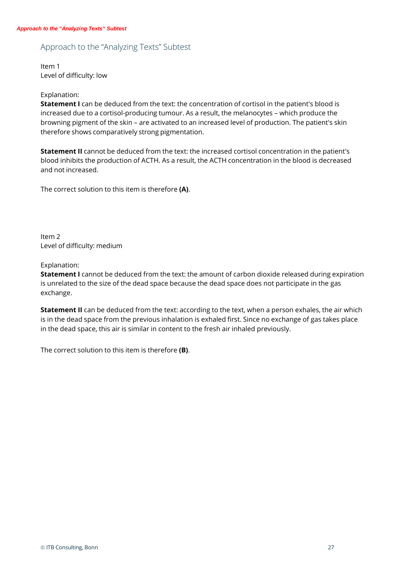# Approach to the "Analyzing Texts" Subtest

Item 1 Level of difficulty: low

#### Explanation:

**Statement I** can be deduced from the text: the concentration of cortisol in the patient's blood is increased due to a cortisol-producing tumour. As a result, the melanocytes – which produce the browning pigment of the skin – are activated to an increased level of production. The patient's skin therefore shows comparatively strong pigmentation.

**Statement II** cannot be deduced from the text: the increased cortisol concentration in the patient's blood inhibits the production of ACTH. As a result, the ACTH concentration in the blood is decreased and not increased.

The correct solution to this item is therefore **(A)**.

Item 2 Level of difficulty: medium

Explanation:

**Statement I** cannot be deduced from the text: the amount of carbon dioxide released during expiration is unrelated to the size of the dead space because the dead space does not participate in the gas exchange.

**Statement II** can be deduced from the text: according to the text, when a person exhales, the air which is in the dead space from the previous inhalation is exhaled first. Since no exchange of gas takes place in the dead space, this air is similar in content to the fresh air inhaled previously.

The correct solution to this item is therefore **(B)**.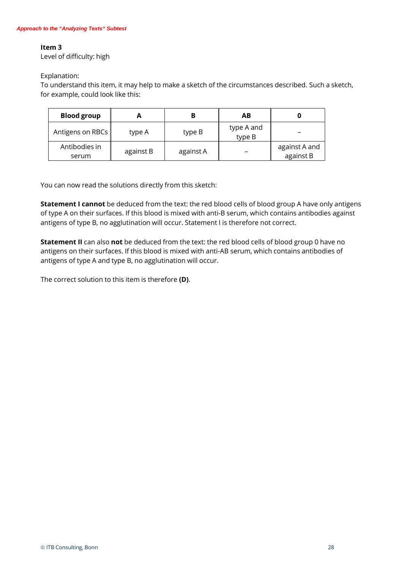### **Item 3**

Level of difficulty: high

Explanation:

To understand this item, it may help to make a sketch of the circumstances described. Such a sketch, for example, could look like this:

| <b>Blood group</b>     |           |           | AВ                   |                            |
|------------------------|-----------|-----------|----------------------|----------------------------|
| Antigens on RBCs       | type A    | type B    | type A and<br>type B |                            |
| Antibodies in<br>serum | against B | against A |                      | against A and<br>against B |

You can now read the solutions directly from this sketch:

**Statement I cannot** be deduced from the text: the red blood cells of blood group A have only antigens of type A on their surfaces. If this blood is mixed with anti-B serum, which contains antibodies against antigens of type B, no agglutination will occur. Statement I is therefore not correct.

**Statement II** can also **not** be deduced from the text: the red blood cells of blood group 0 have no antigens on their surfaces. If this blood is mixed with anti-AB serum, which contains antibodies of antigens of type A and type B, no agglutination will occur.

The correct solution to this item is therefore **(D)**.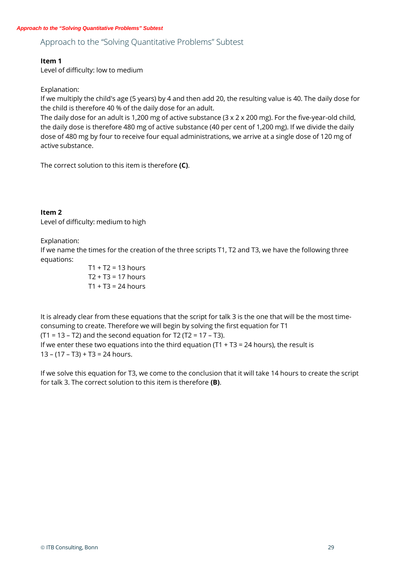# Approach to the "Solving Quantitative Problems" Subtest

### **Item 1**

Level of difficulty: low to medium

Explanation:

If we multiply the child's age (5 years) by 4 and then add 20, the resulting value is 40. The daily dose for the child is therefore 40 % of the daily dose for an adult.

The daily dose for an adult is 1,200 mg of active substance  $(3 \times 2 \times 200$  mg). For the five-year-old child, the daily dose is therefore 480 mg of active substance (40 per cent of 1,200 mg). If we divide the daily dose of 480 mg by four to receive four equal administrations, we arrive at a single dose of 120 mg of active substance.

The correct solution to this item is therefore **(C)**.

#### **Item 2** Level of difficulty: medium to high

Explanation:

If we name the times for the creation of the three scripts T1, T2 and T3, we have the following three equations:

> $T1 + T2 = 13$  hours  $T2 + T3 = 17$  hours  $T1 + T3 = 24$  hours

It is already clear from these equations that the script for talk 3 is the one that will be the most timeconsuming to create. Therefore we will begin by solving the first equation for T1 (T1 = 13 – T2) and the second equation for T2 (T2 = 17 – T3). If we enter these two equations into the third equation  $(T1 + T3 = 24$  hours), the result is  $13 - (17 - T3) + T3 = 24$  hours.

If we solve this equation for T3, we come to the conclusion that it will take 14 hours to create the script for talk 3. The correct solution to this item is therefore **(B)**.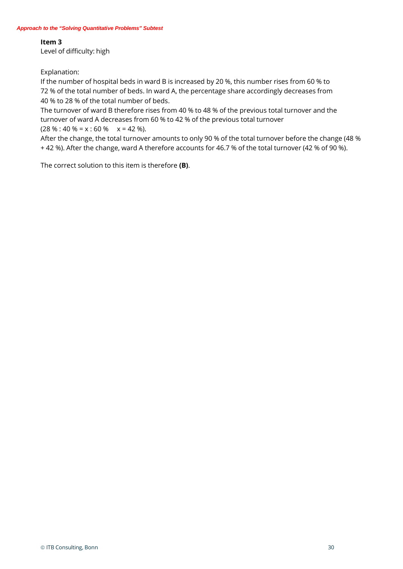#### **Item 3**

Level of difficulty: high

Explanation:

If the number of hospital beds in ward B is increased by 20 %, this number rises from 60 % to 72 % of the total number of beds. In ward A, the percentage share accordingly decreases from 40 % to 28 % of the total number of beds.

The turnover of ward B therefore rises from 40 % to 48 % of the previous total turnover and the turnover of ward A decreases from 60 % to 42 % of the previous total turnover  $(28\% : 40\% = x : 60\% \times x = 42\%).$ 

After the change, the total turnover amounts to only 90 % of the total turnover before the change (48 % + 42 %). After the change, ward A therefore accounts for 46.7 % of the total turnover (42 % of 90 %).

The correct solution to this item is therefore **(B)**.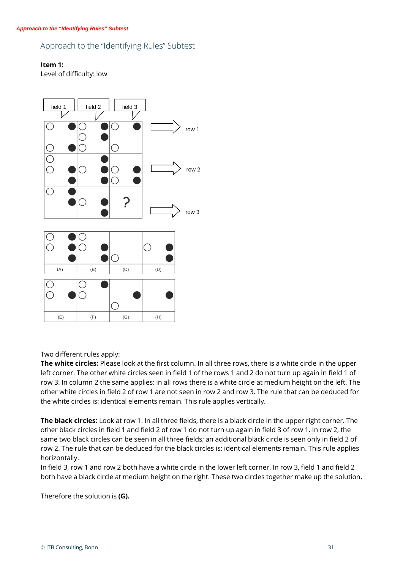## Approach to the "Identifying Rules" Subtest

### **Item 1:**

Level of difficulty: low



#### Two different rules apply:

**The white circles:** Please look at the first column. In all three rows, there is a white circle in the upper left corner. The other white circles seen in field 1 of the rows 1 and 2 do not turn up again in field 1 of row 3. In column 2 the same applies: in all rows there is a white circle at medium height on the left. The other white circles in field 2 of row 1 are not seen in row 2 and row 3. The rule that can be deduced for the white circles is: identical elements remain. This rule applies vertically.

**The black circles:** Look at row 1. In all three fields, there is a black circle in the upper right corner. The other black circles in field 1 and field 2 of row 1 do not turn up again in field 3 of row 1. In row 2, the same two black circles can be seen in all three fields; an additional black circle is seen only in field 2 of row 2. The rule that can be deduced for the black circles is: identical elements remain. This rule applies horizontally.

In field 3, row 1 and row 2 both have a white circle in the lower left corner. In row 3, field 1 and field 2 both have a black circle at medium height on the right. These two circles together make up the solution.

Therefore the solution is **(G).**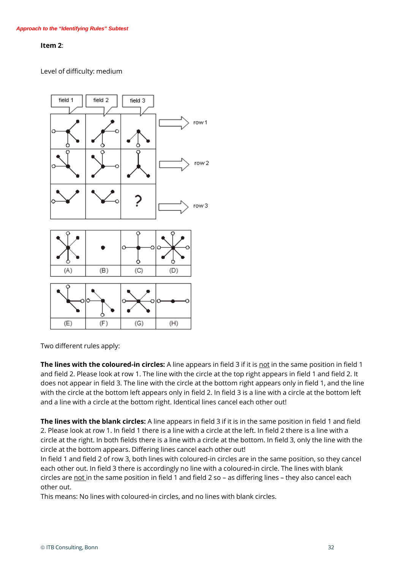#### **Item 2**:

Level of difficulty: medium



Two different rules apply:

**The lines with the coloured-in circles:** A line appears in field 3 if it is not in the same position in field 1 and field 2. Please look at row 1. The line with the circle at the top right appears in field 1 and field 2. It does not appear in field 3. The line with the circle at the bottom right appears only in field 1, and the line with the circle at the bottom left appears only in field 2. In field 3 is a line with a circle at the bottom left and a line with a circle at the bottom right. Identical lines cancel each other out!

**The lines with the blank circles:** A line appears in field 3 if it is in the same position in field 1 and field 2. Please look at row 1. In field 1 there is a line with a circle at the left. In field 2 there is a line with a circle at the right. In both fields there is a line with a circle at the bottom. In field 3, only the line with the circle at the bottom appears. Differing lines cancel each other out!

In field 1 and field 2 of row 3, both lines with coloured-in circles are in the same position, so they cancel each other out. In field 3 there is accordingly no line with a coloured-in circle. The lines with blank circles are not in the same position in field 1 and field 2 so – as differing lines – they also cancel each other out.

This means: No lines with coloured-in circles, and no lines with blank circles.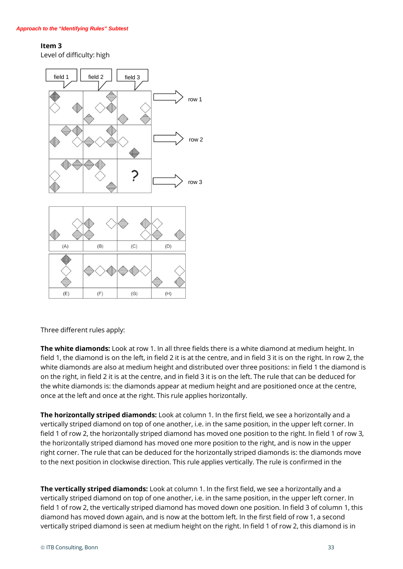# **Item 3**

Level of difficulty: high



Three different rules apply:

**The white diamonds:** Look at row 1. In all three fields there is a white diamond at medium height. In field 1, the diamond is on the left, in field 2 it is at the centre, and in field 3 it is on the right. In row 2, the white diamonds are also at medium height and distributed over three positions: in field 1 the diamond is on the right, in field 2 it is at the centre, and in field 3 it is on the left. The rule that can be deduced for the white diamonds is: the diamonds appear at medium height and are positioned once at the centre, once at the left and once at the right. This rule applies horizontally.

**The horizontally striped diamonds:** Look at column 1. In the first field, we see a horizontally and a vertically striped diamond on top of one another, i.e. in the same position, in the upper left corner. In field 1 of row 2, the horizontally striped diamond has moved one position to the right. In field 1 of row 3, the horizontally striped diamond has moved one more position to the right, and is now in the upper right corner. The rule that can be deduced for the horizontally striped diamonds is: the diamonds move to the next position in clockwise direction. This rule applies vertically. The rule is confirmed in the

**The vertically striped diamonds:** Look at column 1. In the first field, we see a horizontally and a vertically striped diamond on top of one another, i.e. in the same position, in the upper left corner. In field 1 of row 2, the vertically striped diamond has moved down one position. In field 3 of column 1, this diamond has moved down again, and is now at the bottom left. In the first field of row 1, a second vertically striped diamond is seen at medium height on the right. In field 1 of row 2, this diamond is in